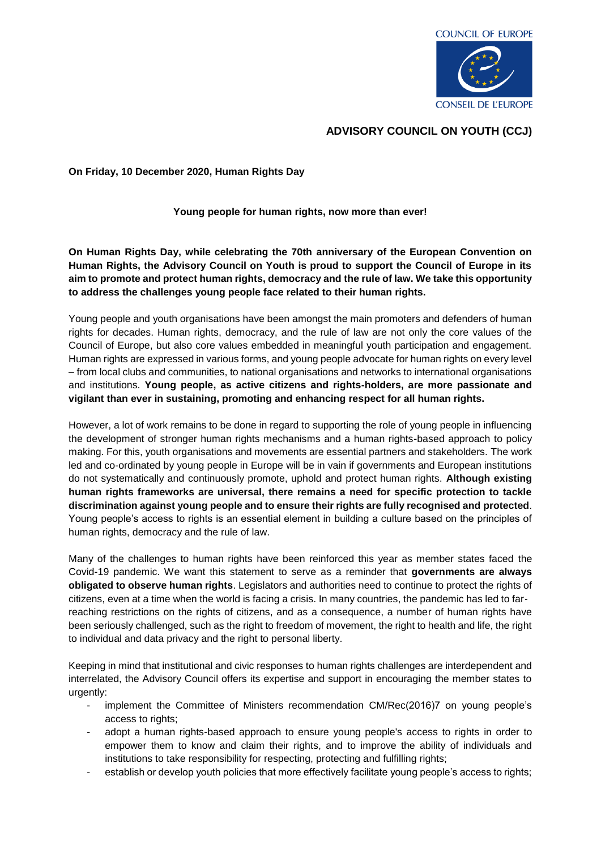

## **ADVISORY COUNCIL ON YOUTH (CCJ)**

## **On Friday, 10 December 2020, Human Rights Day**

**Young people for human rights, now more than ever!** 

**On Human Rights Day, while celebrating the 70th anniversary of the European Convention on Human Rights, the Advisory Council on Youth is proud to support the Council of Europe in its aim to promote and protect human rights, democracy and the rule of law. We take this opportunity to address the challenges young people face related to their human rights.** 

Young people and youth organisations have been amongst the main promoters and defenders of human rights for decades. Human rights, democracy, and the rule of law are not only the core values of the Council of Europe, but also core values embedded in meaningful youth participation and engagement. Human rights are expressed in various forms, and young people advocate for human rights on every level – from local clubs and communities, to national organisations and networks to international organisations and institutions. **Young people, as active citizens and rights-holders, are more passionate and vigilant than ever in sustaining, promoting and enhancing respect for all human rights.** 

However, a lot of work remains to be done in regard to supporting the role of young people in influencing the development of stronger human rights mechanisms and a human rights-based approach to policy making. For this, youth organisations and movements are essential partners and stakeholders. The work led and co-ordinated by young people in Europe will be in vain if governments and European institutions do not systematically and continuously promote, uphold and protect human rights. **Although existing human rights frameworks are universal, there remains a need for specific protection to tackle discrimination against young people and to ensure their rights are fully recognised and protected**. Young people's access to rights is an essential element in building a culture based on the principles of human rights, democracy and the rule of law.

Many of the challenges to human rights have been reinforced this year as member states faced the Covid-19 pandemic. We want this statement to serve as a reminder that **governments are always obligated to observe human rights**. Legislators and authorities need to continue to protect the rights of citizens, even at a time when the world is facing a crisis. In many countries, the pandemic has led to far‐ reaching restrictions on the rights of citizens, and as a consequence, a number of human rights have been seriously challenged, such as the right to freedom of movement, the right to health and life, the right to individual and data privacy and the right to personal liberty.

Keeping in mind that institutional and civic responses to human rights challenges are interdependent and interrelated, the Advisory Council offers its expertise and support in encouraging the member states to urgently:

- implement the Committee of Ministers recommendation CM/Rec(2016)7 on young people's access to rights;
- adopt a human rights-based approach to ensure young people's access to rights in order to empower them to know and claim their rights, and to improve the ability of individuals and institutions to take responsibility for respecting, protecting and fulfilling rights;
- establish or develop youth policies that more effectively facilitate young people's access to rights;